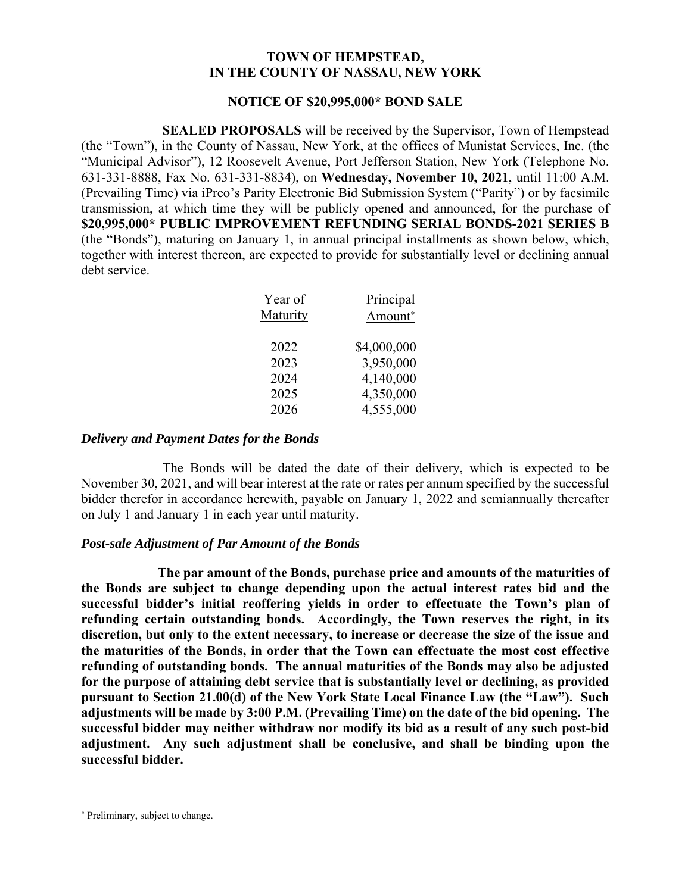## **TOWN OF HEMPSTEAD, IN THE COUNTY OF NASSAU, NEW YORK**

## **NOTICE OF \$20,995,000\* BOND SALE**

**SEALED PROPOSALS** will be received by the Supervisor, Town of Hempstead (the "Town"), in the County of Nassau, New York, at the offices of Munistat Services, Inc. (the "Municipal Advisor"), 12 Roosevelt Avenue, Port Jefferson Station, New York (Telephone No. 631-331-8888, Fax No. 631-331-8834), on **Wednesday, November 10, 2021**, until 11:00 A.M. (Prevailing Time) via iPreo's Parity Electronic Bid Submission System ("Parity") or by facsimile transmission, at which time they will be publicly opened and announced, for the purchase of **\$20,995,000\* PUBLIC IMPROVEMENT REFUNDING SERIAL BONDS-2021 SERIES B**  (the "Bonds"), maturing on January 1, in annual principal installments as shown below, which, together with interest thereon, are expected to provide for substantially level or declining annual debt service.

| Principal   |
|-------------|
| Amount*     |
|             |
| \$4,000,000 |
| 3,950,000   |
| 4,140,000   |
| 4,350,000   |
| 4,555,000   |
|             |

## *Delivery and Payment Dates for the Bonds*

The Bonds will be dated the date of their delivery, which is expected to be November 30, 2021, and will bear interest at the rate or rates per annum specified by the successful bidder therefor in accordance herewith, payable on January 1, 2022 and semiannually thereafter on July 1 and January 1 in each year until maturity.

# *Post-sale Adjustment of Par Amount of the Bonds*

**The par amount of the Bonds, purchase price and amounts of the maturities of the Bonds are subject to change depending upon the actual interest rates bid and the successful bidder's initial reoffering yields in order to effectuate the Town's plan of refunding certain outstanding bonds. Accordingly, the Town reserves the right, in its discretion, but only to the extent necessary, to increase or decrease the size of the issue and the maturities of the Bonds, in order that the Town can effectuate the most cost effective refunding of outstanding bonds. The annual maturities of the Bonds may also be adjusted for the purpose of attaining debt service that is substantially level or declining, as provided pursuant to Section 21.00(d) of the New York State Local Finance Law (the "Law"). Such adjustments will be made by 3:00 P.M. (Prevailing Time) on the date of the bid opening. The successful bidder may neither withdraw nor modify its bid as a result of any such post-bid adjustment. Any such adjustment shall be conclusive, and shall be binding upon the successful bidder.** 

<u>.</u>

<sup>∗</sup> Preliminary, subject to change.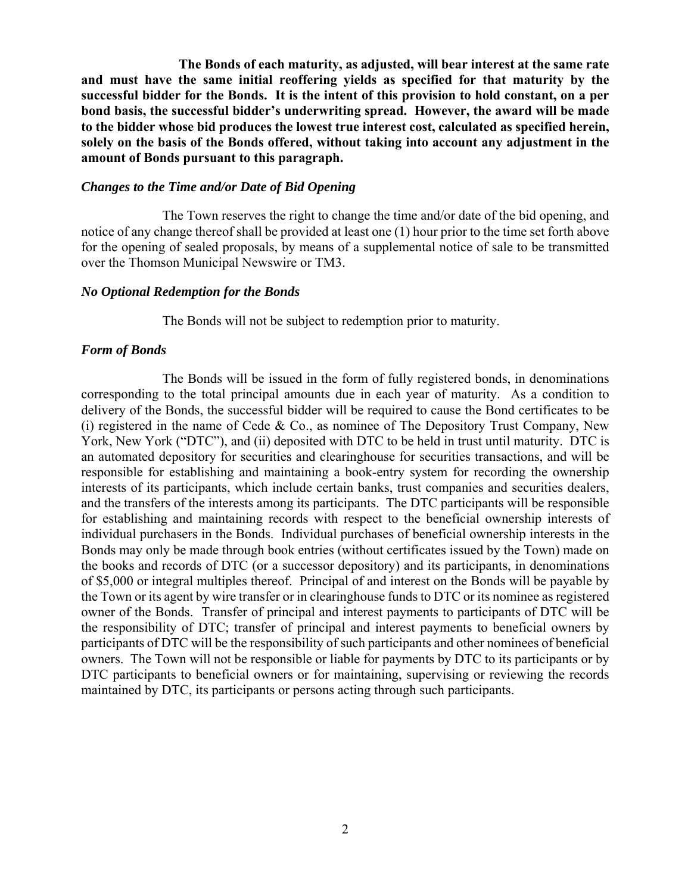**The Bonds of each maturity, as adjusted, will bear interest at the same rate and must have the same initial reoffering yields as specified for that maturity by the successful bidder for the Bonds. It is the intent of this provision to hold constant, on a per bond basis, the successful bidder's underwriting spread. However, the award will be made to the bidder whose bid produces the lowest true interest cost, calculated as specified herein, solely on the basis of the Bonds offered, without taking into account any adjustment in the amount of Bonds pursuant to this paragraph.** 

#### *Changes to the Time and/or Date of Bid Opening*

The Town reserves the right to change the time and/or date of the bid opening, and notice of any change thereof shall be provided at least one (1) hour prior to the time set forth above for the opening of sealed proposals, by means of a supplemental notice of sale to be transmitted over the Thomson Municipal Newswire or TM3.

#### *No Optional Redemption for the Bonds*

The Bonds will not be subject to redemption prior to maturity.

#### *Form of Bonds*

The Bonds will be issued in the form of fully registered bonds, in denominations corresponding to the total principal amounts due in each year of maturity. As a condition to delivery of the Bonds, the successful bidder will be required to cause the Bond certificates to be (i) registered in the name of Cede & Co., as nominee of The Depository Trust Company, New York, New York ("DTC"), and (ii) deposited with DTC to be held in trust until maturity. DTC is an automated depository for securities and clearinghouse for securities transactions, and will be responsible for establishing and maintaining a book-entry system for recording the ownership interests of its participants, which include certain banks, trust companies and securities dealers, and the transfers of the interests among its participants. The DTC participants will be responsible for establishing and maintaining records with respect to the beneficial ownership interests of individual purchasers in the Bonds. Individual purchases of beneficial ownership interests in the Bonds may only be made through book entries (without certificates issued by the Town) made on the books and records of DTC (or a successor depository) and its participants, in denominations of \$5,000 or integral multiples thereof. Principal of and interest on the Bonds will be payable by the Town or its agent by wire transfer or in clearinghouse funds to DTC or its nominee as registered owner of the Bonds. Transfer of principal and interest payments to participants of DTC will be the responsibility of DTC; transfer of principal and interest payments to beneficial owners by participants of DTC will be the responsibility of such participants and other nominees of beneficial owners. The Town will not be responsible or liable for payments by DTC to its participants or by DTC participants to beneficial owners or for maintaining, supervising or reviewing the records maintained by DTC, its participants or persons acting through such participants.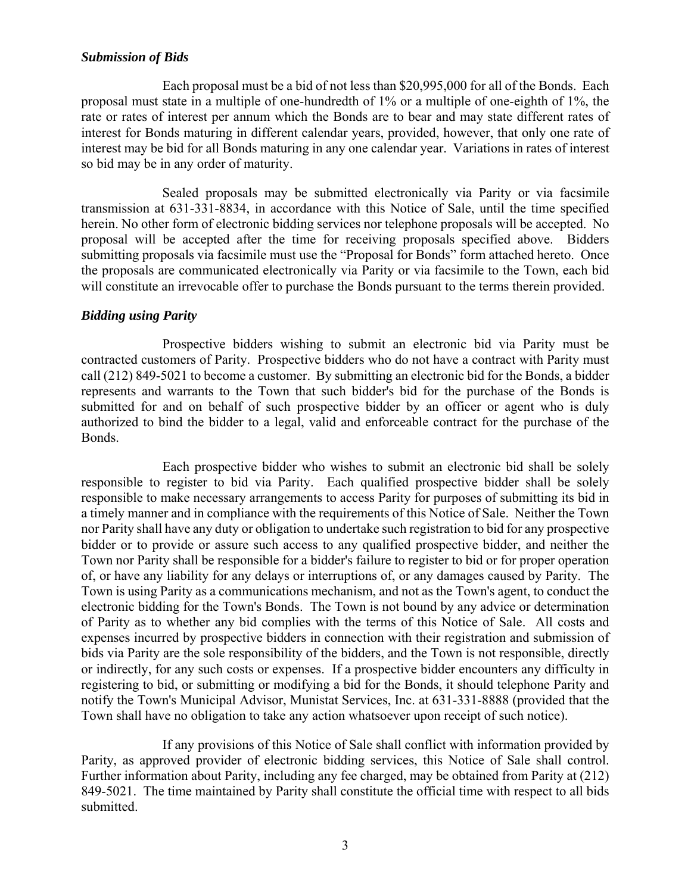## *Submission of Bids*

Each proposal must be a bid of not less than \$20,995,000 for all of the Bonds. Each proposal must state in a multiple of one-hundredth of 1% or a multiple of one-eighth of 1%, the rate or rates of interest per annum which the Bonds are to bear and may state different rates of interest for Bonds maturing in different calendar years, provided, however, that only one rate of interest may be bid for all Bonds maturing in any one calendar year. Variations in rates of interest so bid may be in any order of maturity.

Sealed proposals may be submitted electronically via Parity or via facsimile transmission at 631-331-8834, in accordance with this Notice of Sale, until the time specified herein. No other form of electronic bidding services nor telephone proposals will be accepted. No proposal will be accepted after the time for receiving proposals specified above. Bidders submitting proposals via facsimile must use the "Proposal for Bonds" form attached hereto. Once the proposals are communicated electronically via Parity or via facsimile to the Town, each bid will constitute an irrevocable offer to purchase the Bonds pursuant to the terms therein provided.

## *Bidding using Parity*

Prospective bidders wishing to submit an electronic bid via Parity must be contracted customers of Parity. Prospective bidders who do not have a contract with Parity must call (212) 849-5021 to become a customer. By submitting an electronic bid for the Bonds, a bidder represents and warrants to the Town that such bidder's bid for the purchase of the Bonds is submitted for and on behalf of such prospective bidder by an officer or agent who is duly authorized to bind the bidder to a legal, valid and enforceable contract for the purchase of the Bonds.

Each prospective bidder who wishes to submit an electronic bid shall be solely responsible to register to bid via Parity. Each qualified prospective bidder shall be solely responsible to make necessary arrangements to access Parity for purposes of submitting its bid in a timely manner and in compliance with the requirements of this Notice of Sale. Neither the Town nor Parity shall have any duty or obligation to undertake such registration to bid for any prospective bidder or to provide or assure such access to any qualified prospective bidder, and neither the Town nor Parity shall be responsible for a bidder's failure to register to bid or for proper operation of, or have any liability for any delays or interruptions of, or any damages caused by Parity. The Town is using Parity as a communications mechanism, and not as the Town's agent, to conduct the electronic bidding for the Town's Bonds. The Town is not bound by any advice or determination of Parity as to whether any bid complies with the terms of this Notice of Sale. All costs and expenses incurred by prospective bidders in connection with their registration and submission of bids via Parity are the sole responsibility of the bidders, and the Town is not responsible, directly or indirectly, for any such costs or expenses. If a prospective bidder encounters any difficulty in registering to bid, or submitting or modifying a bid for the Bonds, it should telephone Parity and notify the Town's Municipal Advisor, Munistat Services, Inc. at 631-331-8888 (provided that the Town shall have no obligation to take any action whatsoever upon receipt of such notice).

If any provisions of this Notice of Sale shall conflict with information provided by Parity, as approved provider of electronic bidding services, this Notice of Sale shall control. Further information about Parity, including any fee charged, may be obtained from Parity at (212) 849-5021. The time maintained by Parity shall constitute the official time with respect to all bids submitted.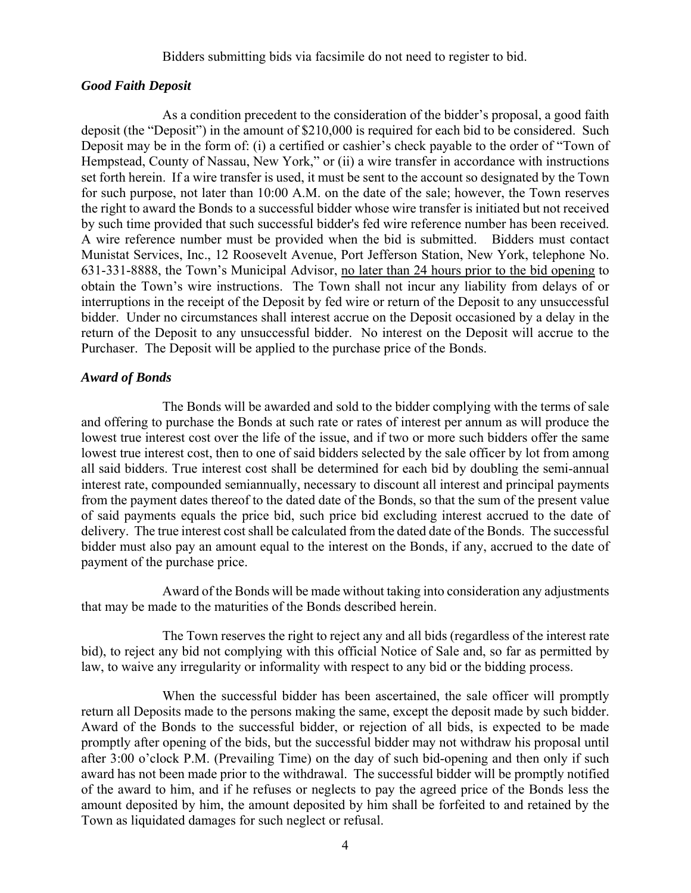#### Bidders submitting bids via facsimile do not need to register to bid.

#### *Good Faith Deposit*

As a condition precedent to the consideration of the bidder's proposal, a good faith deposit (the "Deposit") in the amount of \$210,000 is required for each bid to be considered. Such Deposit may be in the form of: (i) a certified or cashier's check payable to the order of "Town of Hempstead, County of Nassau, New York," or (ii) a wire transfer in accordance with instructions set forth herein. If a wire transfer is used, it must be sent to the account so designated by the Town for such purpose, not later than 10:00 A.M. on the date of the sale; however, the Town reserves the right to award the Bonds to a successful bidder whose wire transfer is initiated but not received by such time provided that such successful bidder's fed wire reference number has been received. A wire reference number must be provided when the bid is submitted. Bidders must contact Munistat Services, Inc., 12 Roosevelt Avenue, Port Jefferson Station, New York, telephone No. 631-331-8888, the Town's Municipal Advisor, no later than 24 hours prior to the bid opening to obtain the Town's wire instructions. The Town shall not incur any liability from delays of or interruptions in the receipt of the Deposit by fed wire or return of the Deposit to any unsuccessful bidder. Under no circumstances shall interest accrue on the Deposit occasioned by a delay in the return of the Deposit to any unsuccessful bidder. No interest on the Deposit will accrue to the Purchaser. The Deposit will be applied to the purchase price of the Bonds.

#### *Award of Bonds*

The Bonds will be awarded and sold to the bidder complying with the terms of sale and offering to purchase the Bonds at such rate or rates of interest per annum as will produce the lowest true interest cost over the life of the issue, and if two or more such bidders offer the same lowest true interest cost, then to one of said bidders selected by the sale officer by lot from among all said bidders. True interest cost shall be determined for each bid by doubling the semi-annual interest rate, compounded semiannually, necessary to discount all interest and principal payments from the payment dates thereof to the dated date of the Bonds, so that the sum of the present value of said payments equals the price bid, such price bid excluding interest accrued to the date of delivery. The true interest cost shall be calculated from the dated date of the Bonds. The successful bidder must also pay an amount equal to the interest on the Bonds, if any, accrued to the date of payment of the purchase price.

Award of the Bonds will be made without taking into consideration any adjustments that may be made to the maturities of the Bonds described herein.

The Town reserves the right to reject any and all bids (regardless of the interest rate bid), to reject any bid not complying with this official Notice of Sale and, so far as permitted by law, to waive any irregularity or informality with respect to any bid or the bidding process.

When the successful bidder has been ascertained, the sale officer will promptly return all Deposits made to the persons making the same, except the deposit made by such bidder. Award of the Bonds to the successful bidder, or rejection of all bids, is expected to be made promptly after opening of the bids, but the successful bidder may not withdraw his proposal until after 3:00 o'clock P.M. (Prevailing Time) on the day of such bid-opening and then only if such award has not been made prior to the withdrawal. The successful bidder will be promptly notified of the award to him, and if he refuses or neglects to pay the agreed price of the Bonds less the amount deposited by him, the amount deposited by him shall be forfeited to and retained by the Town as liquidated damages for such neglect or refusal.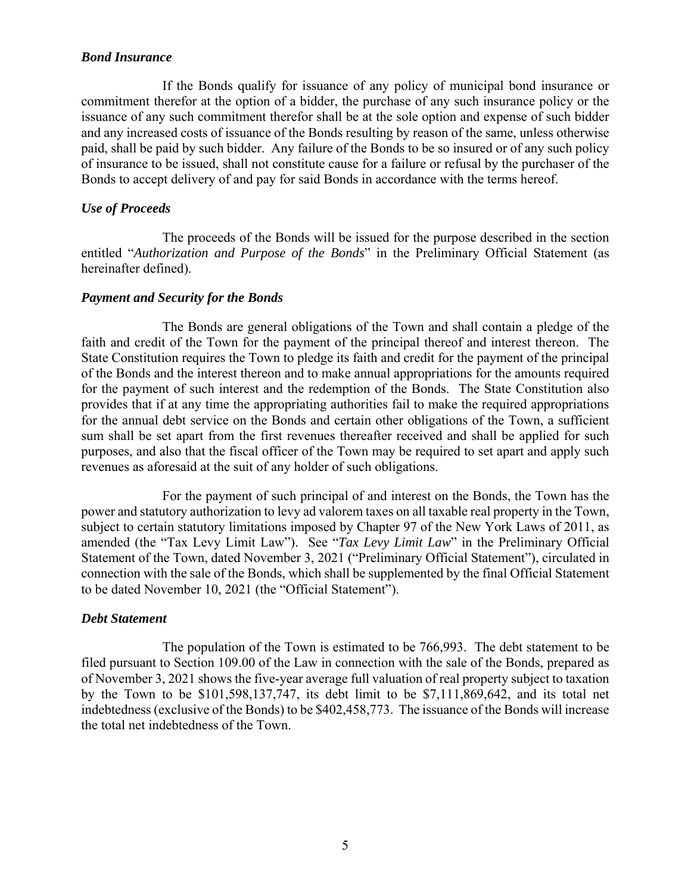## *Bond Insurance*

If the Bonds qualify for issuance of any policy of municipal bond insurance or commitment therefor at the option of a bidder, the purchase of any such insurance policy or the issuance of any such commitment therefor shall be at the sole option and expense of such bidder and any increased costs of issuance of the Bonds resulting by reason of the same, unless otherwise paid, shall be paid by such bidder. Any failure of the Bonds to be so insured or of any such policy of insurance to be issued, shall not constitute cause for a failure or refusal by the purchaser of the Bonds to accept delivery of and pay for said Bonds in accordance with the terms hereof.

# *Use of Proceeds*

The proceeds of the Bonds will be issued for the purpose described in the section entitled "*Authorization and Purpose of the Bonds*" in the Preliminary Official Statement (as hereinafter defined).

## *Payment and Security for the Bonds*

The Bonds are general obligations of the Town and shall contain a pledge of the faith and credit of the Town for the payment of the principal thereof and interest thereon. The State Constitution requires the Town to pledge its faith and credit for the payment of the principal of the Bonds and the interest thereon and to make annual appropriations for the amounts required for the payment of such interest and the redemption of the Bonds. The State Constitution also provides that if at any time the appropriating authorities fail to make the required appropriations for the annual debt service on the Bonds and certain other obligations of the Town, a sufficient sum shall be set apart from the first revenues thereafter received and shall be applied for such purposes, and also that the fiscal officer of the Town may be required to set apart and apply such revenues as aforesaid at the suit of any holder of such obligations.

For the payment of such principal of and interest on the Bonds, the Town has the power and statutory authorization to levy ad valorem taxes on all taxable real property in the Town, subject to certain statutory limitations imposed by Chapter 97 of the New York Laws of 2011, as amended (the "Tax Levy Limit Law"). See "*Tax Levy Limit Law*" in the Preliminary Official Statement of the Town, dated November 3, 2021 ("Preliminary Official Statement"), circulated in connection with the sale of the Bonds, which shall be supplemented by the final Official Statement to be dated November 10, 2021 (the "Official Statement").

#### *Debt Statement*

The population of the Town is estimated to be 766,993. The debt statement to be filed pursuant to Section 109.00 of the Law in connection with the sale of the Bonds, prepared as of November 3, 2021 shows the five-year average full valuation of real property subject to taxation by the Town to be \$101,598,137,747, its debt limit to be \$7,111,869,642, and its total net indebtedness (exclusive of the Bonds) to be \$402,458,773. The issuance of the Bonds will increase the total net indebtedness of the Town.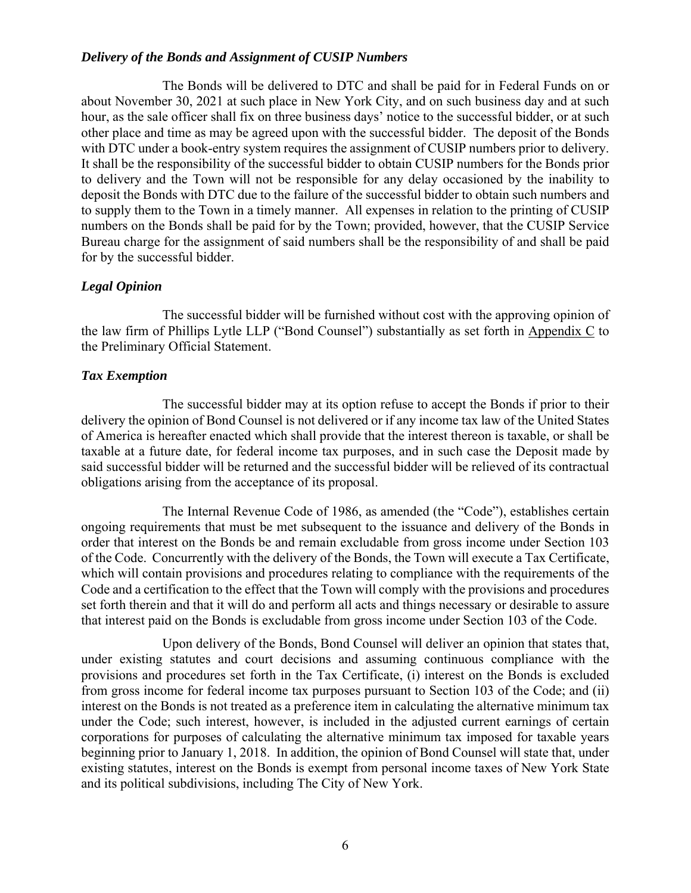#### *Delivery of the Bonds and Assignment of CUSIP Numbers*

The Bonds will be delivered to DTC and shall be paid for in Federal Funds on or about November 30, 2021 at such place in New York City, and on such business day and at such hour, as the sale officer shall fix on three business days' notice to the successful bidder, or at such other place and time as may be agreed upon with the successful bidder. The deposit of the Bonds with DTC under a book-entry system requires the assignment of CUSIP numbers prior to delivery. It shall be the responsibility of the successful bidder to obtain CUSIP numbers for the Bonds prior to delivery and the Town will not be responsible for any delay occasioned by the inability to deposit the Bonds with DTC due to the failure of the successful bidder to obtain such numbers and to supply them to the Town in a timely manner. All expenses in relation to the printing of CUSIP numbers on the Bonds shall be paid for by the Town; provided, however, that the CUSIP Service Bureau charge for the assignment of said numbers shall be the responsibility of and shall be paid for by the successful bidder.

## *Legal Opinion*

The successful bidder will be furnished without cost with the approving opinion of the law firm of Phillips Lytle LLP ("Bond Counsel") substantially as set forth in Appendix C to the Preliminary Official Statement.

## *Tax Exemption*

The successful bidder may at its option refuse to accept the Bonds if prior to their delivery the opinion of Bond Counsel is not delivered or if any income tax law of the United States of America is hereafter enacted which shall provide that the interest thereon is taxable, or shall be taxable at a future date, for federal income tax purposes, and in such case the Deposit made by said successful bidder will be returned and the successful bidder will be relieved of its contractual obligations arising from the acceptance of its proposal.

The Internal Revenue Code of 1986, as amended (the "Code"), establishes certain ongoing requirements that must be met subsequent to the issuance and delivery of the Bonds in order that interest on the Bonds be and remain excludable from gross income under Section 103 of the Code. Concurrently with the delivery of the Bonds, the Town will execute a Tax Certificate, which will contain provisions and procedures relating to compliance with the requirements of the Code and a certification to the effect that the Town will comply with the provisions and procedures set forth therein and that it will do and perform all acts and things necessary or desirable to assure that interest paid on the Bonds is excludable from gross income under Section 103 of the Code.

Upon delivery of the Bonds, Bond Counsel will deliver an opinion that states that, under existing statutes and court decisions and assuming continuous compliance with the provisions and procedures set forth in the Tax Certificate, (i) interest on the Bonds is excluded from gross income for federal income tax purposes pursuant to Section 103 of the Code; and (ii) interest on the Bonds is not treated as a preference item in calculating the alternative minimum tax under the Code; such interest, however, is included in the adjusted current earnings of certain corporations for purposes of calculating the alternative minimum tax imposed for taxable years beginning prior to January 1, 2018. In addition, the opinion of Bond Counsel will state that, under existing statutes, interest on the Bonds is exempt from personal income taxes of New York State and its political subdivisions, including The City of New York.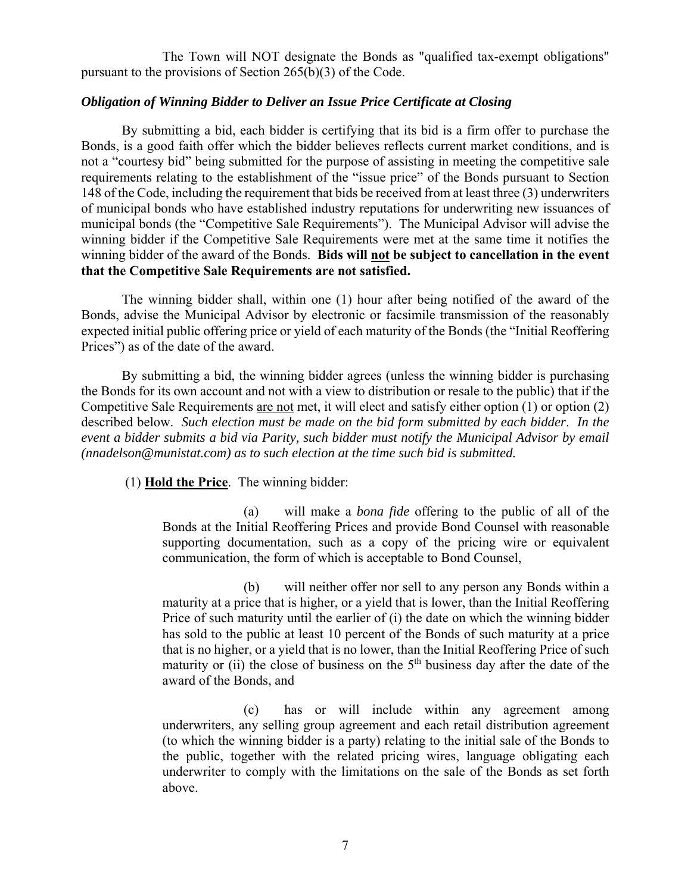The Town will NOT designate the Bonds as "qualified tax-exempt obligations" pursuant to the provisions of Section 265(b)(3) of the Code.

## *Obligation of Winning Bidder to Deliver an Issue Price Certificate at Closing*

By submitting a bid, each bidder is certifying that its bid is a firm offer to purchase the Bonds, is a good faith offer which the bidder believes reflects current market conditions, and is not a "courtesy bid" being submitted for the purpose of assisting in meeting the competitive sale requirements relating to the establishment of the "issue price" of the Bonds pursuant to Section 148 of the Code, including the requirement that bids be received from at least three (3) underwriters of municipal bonds who have established industry reputations for underwriting new issuances of municipal bonds (the "Competitive Sale Requirements"). The Municipal Advisor will advise the winning bidder if the Competitive Sale Requirements were met at the same time it notifies the winning bidder of the award of the Bonds. **Bids will not be subject to cancellation in the event that the Competitive Sale Requirements are not satisfied.** 

The winning bidder shall, within one (1) hour after being notified of the award of the Bonds, advise the Municipal Advisor by electronic or facsimile transmission of the reasonably expected initial public offering price or yield of each maturity of the Bonds (the "Initial Reoffering Prices") as of the date of the award.

By submitting a bid, the winning bidder agrees (unless the winning bidder is purchasing the Bonds for its own account and not with a view to distribution or resale to the public) that if the Competitive Sale Requirements are not met, it will elect and satisfy either option (1) or option (2) described below. *Such election must be made on the bid form submitted by each bidder*. *In the event a bidder submits a bid via Parity, such bidder must notify the Municipal Advisor by email (nnadelson@munistat.com) as to such election at the time such bid is submitted.* 

(1) **Hold the Price**. The winning bidder:

(a) will make a *bona fide* offering to the public of all of the Bonds at the Initial Reoffering Prices and provide Bond Counsel with reasonable supporting documentation, such as a copy of the pricing wire or equivalent communication, the form of which is acceptable to Bond Counsel,

(b) will neither offer nor sell to any person any Bonds within a maturity at a price that is higher, or a yield that is lower, than the Initial Reoffering Price of such maturity until the earlier of (i) the date on which the winning bidder has sold to the public at least 10 percent of the Bonds of such maturity at a price that is no higher, or a yield that is no lower, than the Initial Reoffering Price of such maturity or (ii) the close of business on the  $5<sup>th</sup>$  business day after the date of the award of the Bonds, and

(c) has or will include within any agreement among underwriters, any selling group agreement and each retail distribution agreement (to which the winning bidder is a party) relating to the initial sale of the Bonds to the public, together with the related pricing wires, language obligating each underwriter to comply with the limitations on the sale of the Bonds as set forth above.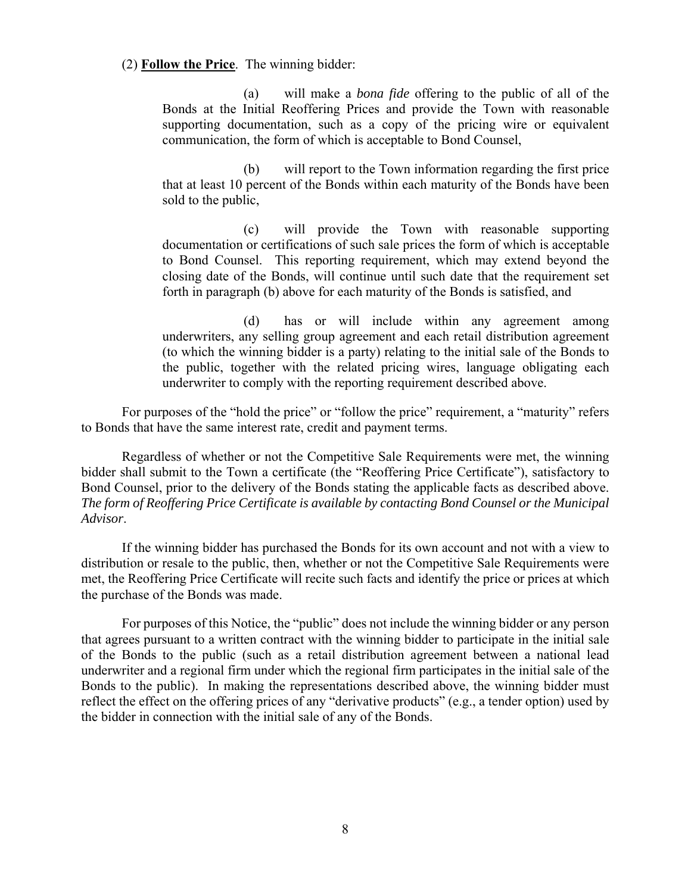(2) **Follow the Price**. The winning bidder:

(a) will make a *bona fide* offering to the public of all of the Bonds at the Initial Reoffering Prices and provide the Town with reasonable supporting documentation, such as a copy of the pricing wire or equivalent communication, the form of which is acceptable to Bond Counsel,

(b) will report to the Town information regarding the first price that at least 10 percent of the Bonds within each maturity of the Bonds have been sold to the public,

(c) will provide the Town with reasonable supporting documentation or certifications of such sale prices the form of which is acceptable to Bond Counsel. This reporting requirement, which may extend beyond the closing date of the Bonds, will continue until such date that the requirement set forth in paragraph (b) above for each maturity of the Bonds is satisfied, and

(d) has or will include within any agreement among underwriters, any selling group agreement and each retail distribution agreement (to which the winning bidder is a party) relating to the initial sale of the Bonds to the public, together with the related pricing wires, language obligating each underwriter to comply with the reporting requirement described above.

For purposes of the "hold the price" or "follow the price" requirement, a "maturity" refers to Bonds that have the same interest rate, credit and payment terms.

Regardless of whether or not the Competitive Sale Requirements were met, the winning bidder shall submit to the Town a certificate (the "Reoffering Price Certificate"), satisfactory to Bond Counsel, prior to the delivery of the Bonds stating the applicable facts as described above. *The form of Reoffering Price Certificate is available by contacting Bond Counsel or the Municipal Advisor*.

If the winning bidder has purchased the Bonds for its own account and not with a view to distribution or resale to the public, then, whether or not the Competitive Sale Requirements were met, the Reoffering Price Certificate will recite such facts and identify the price or prices at which the purchase of the Bonds was made.

For purposes of this Notice, the "public" does not include the winning bidder or any person that agrees pursuant to a written contract with the winning bidder to participate in the initial sale of the Bonds to the public (such as a retail distribution agreement between a national lead underwriter and a regional firm under which the regional firm participates in the initial sale of the Bonds to the public). In making the representations described above, the winning bidder must reflect the effect on the offering prices of any "derivative products" (e.g., a tender option) used by the bidder in connection with the initial sale of any of the Bonds.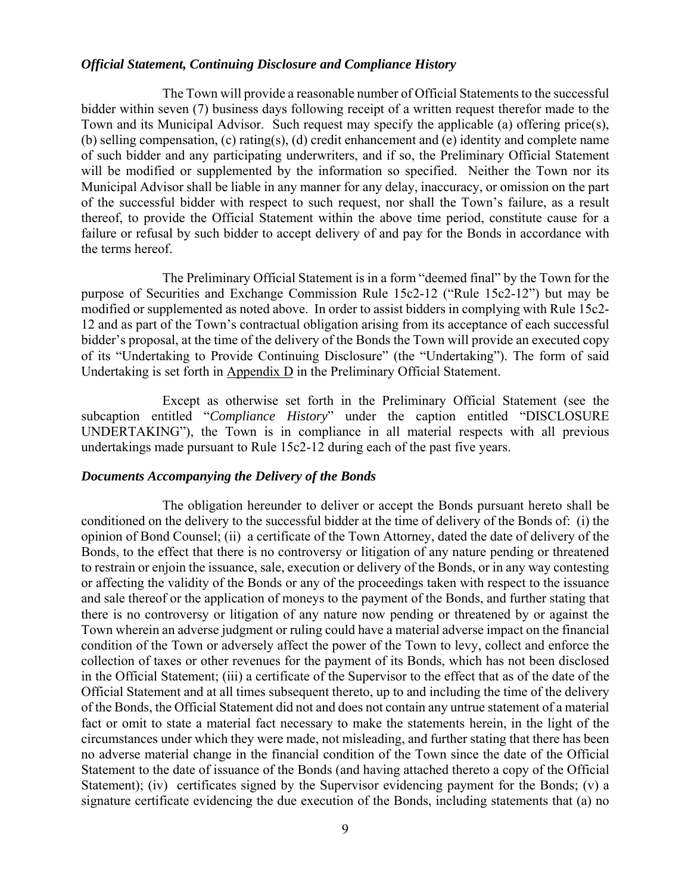#### *Official Statement, Continuing Disclosure and Compliance History*

The Town will provide a reasonable number of Official Statements to the successful bidder within seven (7) business days following receipt of a written request therefor made to the Town and its Municipal Advisor. Such request may specify the applicable (a) offering price(s), (b) selling compensation, (c) rating(s), (d) credit enhancement and (e) identity and complete name of such bidder and any participating underwriters, and if so, the Preliminary Official Statement will be modified or supplemented by the information so specified. Neither the Town nor its Municipal Advisor shall be liable in any manner for any delay, inaccuracy, or omission on the part of the successful bidder with respect to such request, nor shall the Town's failure, as a result thereof, to provide the Official Statement within the above time period, constitute cause for a failure or refusal by such bidder to accept delivery of and pay for the Bonds in accordance with the terms hereof.

The Preliminary Official Statement is in a form "deemed final" by the Town for the purpose of Securities and Exchange Commission Rule 15c2-12 ("Rule 15c2-12") but may be modified or supplemented as noted above. In order to assist bidders in complying with Rule 15c2- 12 and as part of the Town's contractual obligation arising from its acceptance of each successful bidder's proposal, at the time of the delivery of the Bonds the Town will provide an executed copy of its "Undertaking to Provide Continuing Disclosure" (the "Undertaking"). The form of said Undertaking is set forth in Appendix D in the Preliminary Official Statement.

Except as otherwise set forth in the Preliminary Official Statement (see the subcaption entitled "*Compliance History*" under the caption entitled "DISCLOSURE UNDERTAKING"), the Town is in compliance in all material respects with all previous undertakings made pursuant to Rule 15c2-12 during each of the past five years.

#### *Documents Accompanying the Delivery of the Bonds*

The obligation hereunder to deliver or accept the Bonds pursuant hereto shall be conditioned on the delivery to the successful bidder at the time of delivery of the Bonds of: (i) the opinion of Bond Counsel; (ii) a certificate of the Town Attorney, dated the date of delivery of the Bonds, to the effect that there is no controversy or litigation of any nature pending or threatened to restrain or enjoin the issuance, sale, execution or delivery of the Bonds, or in any way contesting or affecting the validity of the Bonds or any of the proceedings taken with respect to the issuance and sale thereof or the application of moneys to the payment of the Bonds, and further stating that there is no controversy or litigation of any nature now pending or threatened by or against the Town wherein an adverse judgment or ruling could have a material adverse impact on the financial condition of the Town or adversely affect the power of the Town to levy, collect and enforce the collection of taxes or other revenues for the payment of its Bonds, which has not been disclosed in the Official Statement; (iii) a certificate of the Supervisor to the effect that as of the date of the Official Statement and at all times subsequent thereto, up to and including the time of the delivery of the Bonds, the Official Statement did not and does not contain any untrue statement of a material fact or omit to state a material fact necessary to make the statements herein, in the light of the circumstances under which they were made, not misleading, and further stating that there has been no adverse material change in the financial condition of the Town since the date of the Official Statement to the date of issuance of the Bonds (and having attached thereto a copy of the Official Statement); (iv) certificates signed by the Supervisor evidencing payment for the Bonds; (v) a signature certificate evidencing the due execution of the Bonds, including statements that (a) no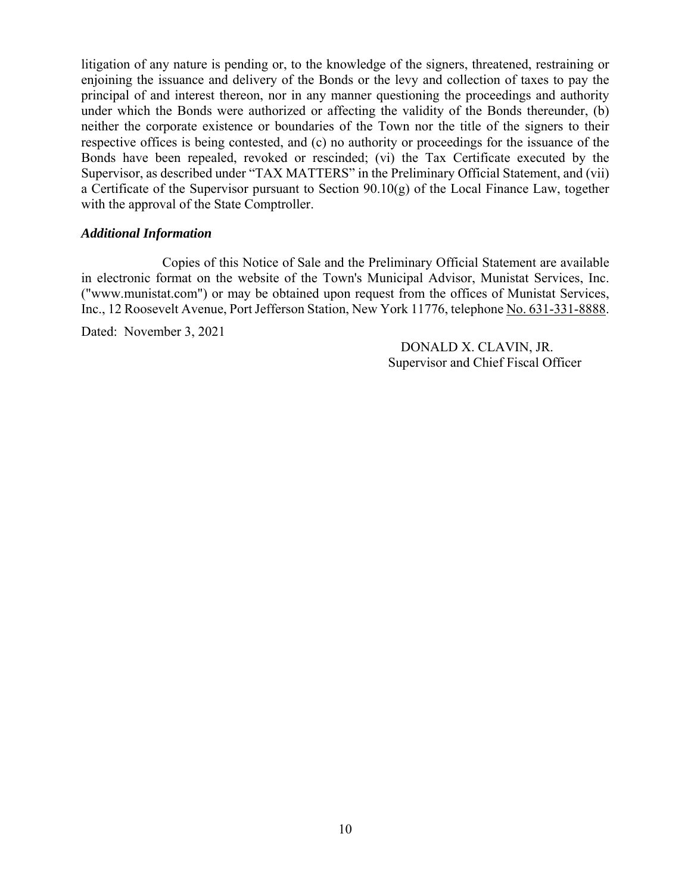litigation of any nature is pending or, to the knowledge of the signers, threatened, restraining or enjoining the issuance and delivery of the Bonds or the levy and collection of taxes to pay the principal of and interest thereon, nor in any manner questioning the proceedings and authority under which the Bonds were authorized or affecting the validity of the Bonds thereunder, (b) neither the corporate existence or boundaries of the Town nor the title of the signers to their respective offices is being contested, and (c) no authority or proceedings for the issuance of the Bonds have been repealed, revoked or rescinded; (vi) the Tax Certificate executed by the Supervisor, as described under "TAX MATTERS" in the Preliminary Official Statement, and (vii) a Certificate of the Supervisor pursuant to Section 90.10(g) of the Local Finance Law, together with the approval of the State Comptroller.

#### *Additional Information*

Copies of this Notice of Sale and the Preliminary Official Statement are available in electronic format on the website of the Town's Municipal Advisor, Munistat Services, Inc. ("www.munistat.com") or may be obtained upon request from the offices of Munistat Services, Inc., 12 Roosevelt Avenue, Port Jefferson Station, New York 11776, telephone No. 631-331-8888.

Dated: November 3, 2021

DONALD X. CLAVIN, JR. Supervisor and Chief Fiscal Officer